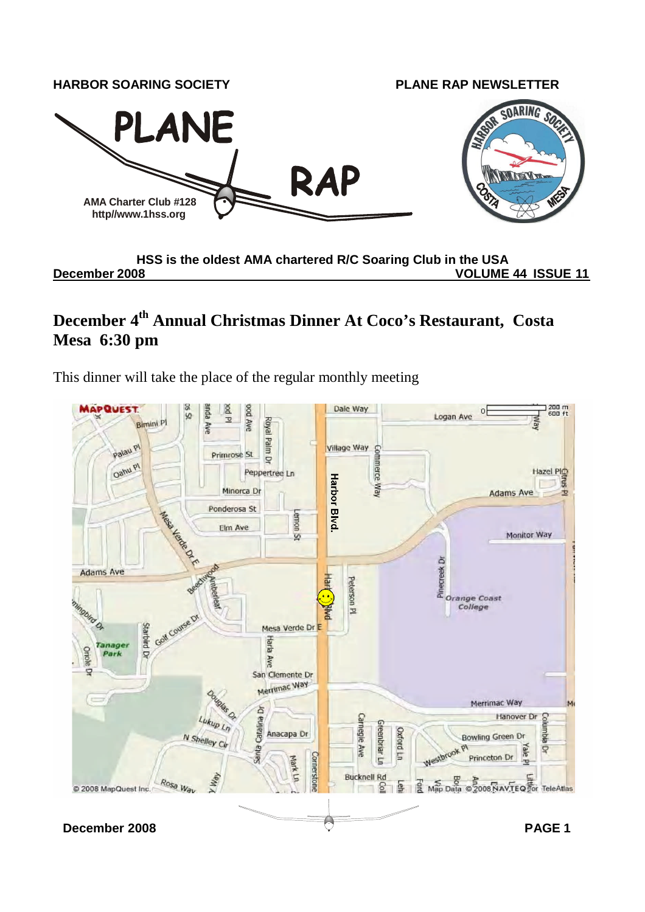

**HSS is the oldest AMA chartered R/C Soaring Club in the USA December 2008 VOLUME 44 ISSUE 11**

## **December 4th Annual Christmas Dinner At Coco's Restaurant, Costa Mesa 6:30 pm**

This dinner will take the place of the regular monthly meeting

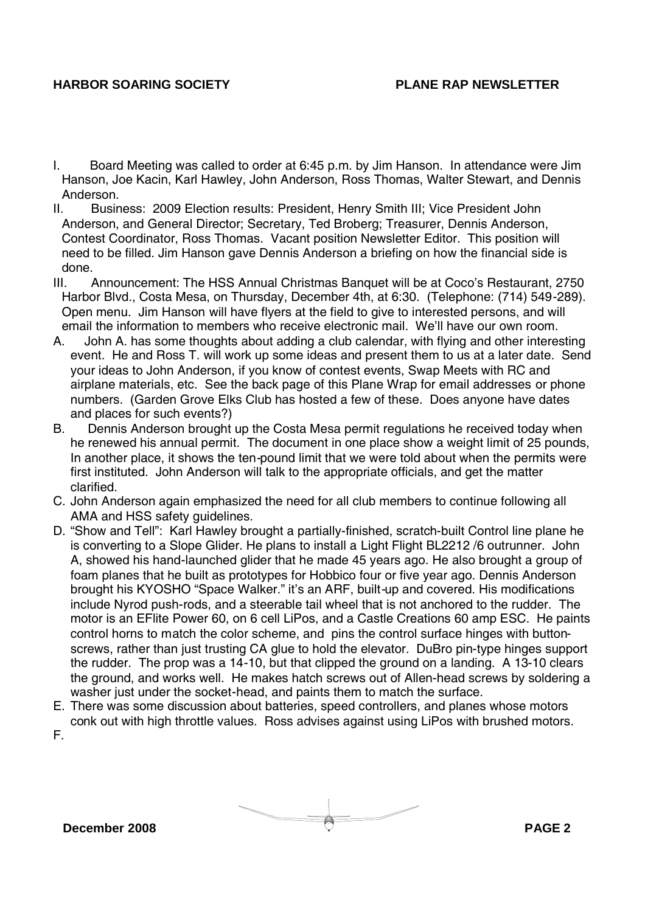- I. Board Meeting was called to order at 6:45 p.m. by Jim Hanson. In attendance were Jim Hanson, Joe Kacin, Karl Hawley, John Anderson, Ross Thomas, Walter Stewart, and Dennis Anderson.
- II. Business: 2009 Election results: President, Henry Smith III; Vice President John Anderson, and General Director; Secretary, Ted Broberg; Treasurer, Dennis Anderson, Contest Coordinator, Ross Thomas. Vacant position Newsletter Editor. This position will need to be filled. Jim Hanson gave Dennis Anderson a briefing on how the financial side is done.
- III. Announcement: The HSS Annual Christmas Banquet will be at Coco's Restaurant, 2750 Harbor Blvd., Costa Mesa, on Thursday, December 4th, at 6:30. (Telephone: (714) 549-289). Open menu. Jim Hanson will have flyers at the field to give to interested persons, and will email the information to members who receive electronic mail. We'll have our own room.
- A. John A. has some thoughts about adding a club calendar, with flying and other interesting event. He and Ross T. will work up some ideas and present them to us at a later date. Send your ideas to John Anderson, if you know of contest events, Swap Meets with RC and airplane materials, etc. See the back page of this Plane Wrap for email addresses or phone numbers. (Garden Grove Elks Club has hosted a few of these. Does anyone have dates and places for such events?)
- B. Dennis Anderson brought up the Costa Mesa permit regulations he received today when he renewed his annual permit. The document in one place show a weight limit of 25 pounds, In another place, it shows the ten-pound limit that we were told about when the permits were first instituted. John Anderson will talk to the appropriate officials, and get the matter clarified.
- C. John Anderson again emphasized the need for all club members to continue following all AMA and HSS safety guidelines.
- D. "Show and Tell": Karl Hawley brought a partially-finished, scratch-built Control line plane he is converting to a Slope Glider. He plans to install a Light Flight BL2212 /6 outrunner. John A, showed his hand-launched glider that he made 45 years ago. He also brought a group of foam planes that he built as prototypes for Hobbico four or five year ago. Dennis Anderson brought his KYOSHO "Space Walker." it's an ARF, built-up and covered. His modifications include Nyrod push-rods, and a steerable tail wheel that is not anchored to the rudder. The motor is an EFlite Power 60, on 6 cell LiPos, and a Castle Creations 60 amp ESC. He paints control horns to match the color scheme, and pins the control surface hinges with buttonscrews, rather than just trusting CA glue to hold the elevator. DuBro pin-type hinges support the rudder. The prop was a 14-10, but that clipped the ground on a landing. A 13-10 clears the ground, and works well. He makes hatch screws out of Allen-head screws by soldering a washer just under the socket-head, and paints them to match the surface.
- E. There was some discussion about batteries, speed controllers, and planes whose motors conk out with high throttle values. Ross advises against using LiPos with brushed motors.

F.

**December 2008 PAGE 2**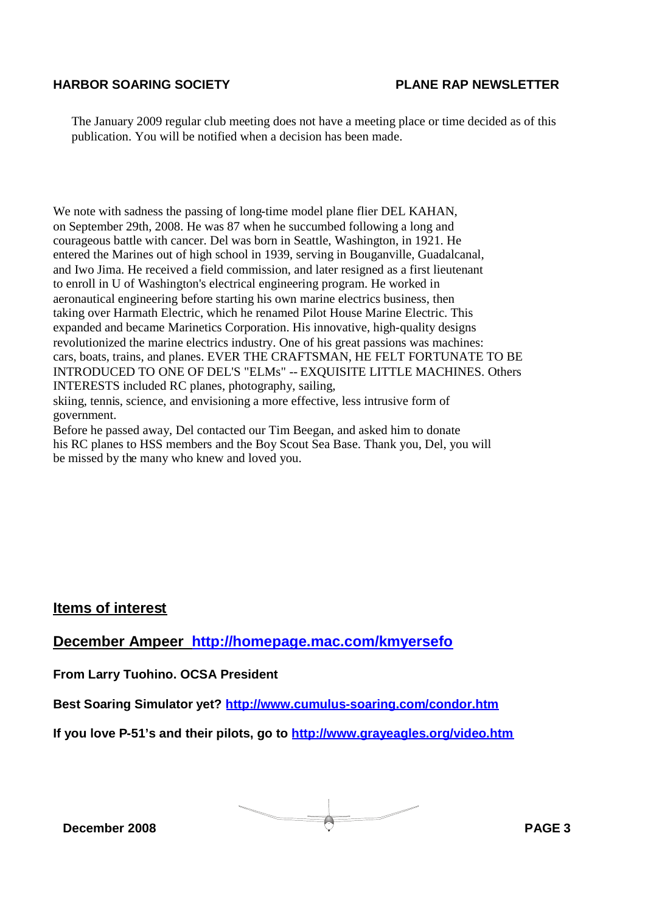The January 2009 regular club meeting does not have a meeting place or time decided as of this publication. You will be notified when a decision has been made.

We note with sadness the passing of long-time model plane flier DEL KAHAN, on September 29th, 2008. He was 87 when he succumbed following a long and courageous battle with cancer. Del was born in Seattle, Washington, in 1921. He entered the Marines out of high school in 1939, serving in Bouganville, Guadalcanal, and Iwo Jima. He received a field commission, and later resigned as a first lieutenant to enroll in U of Washington's electrical engineering program. He worked in aeronautical engineering before starting his own marine electrics business, then taking over Harmath Electric, which he renamed Pilot House Marine Electric. This expanded and became Marinetics Corporation. His innovative, high-quality designs revolutionized the marine electrics industry. One of his great passions was machines: cars, boats, trains, and planes. EVER THE CRAFTSMAN, HE FELT FORTUNATE TO BE INTRODUCED TO ONE OF DEL'S "ELMs" -- EXQUISITE LITTLE MACHINES. Others INTERESTS included RC planes, photography, sailing, skiing, tennis, science, and envisioning a more effective, less intrusive form of

government.

Before he passed away, Del contacted our Tim Beegan, and asked him to donate his RC planes to HSS members and the Boy Scout Sea Base. Thank you, Del, you will be missed by the many who knew and loved you.

### **Items of interest**

**December Ampeer http://homepage.mac.com/kmyersefo**

**From Larry Tuohino. OCSA President**

**Best Soaring Simulator yet? http://www.cumulus-soaring.com/condor.htm**

**If you love P-51's and their pilots, go to http://www.grayeagles.org/video.htm**

**December 2008 PAGE 3**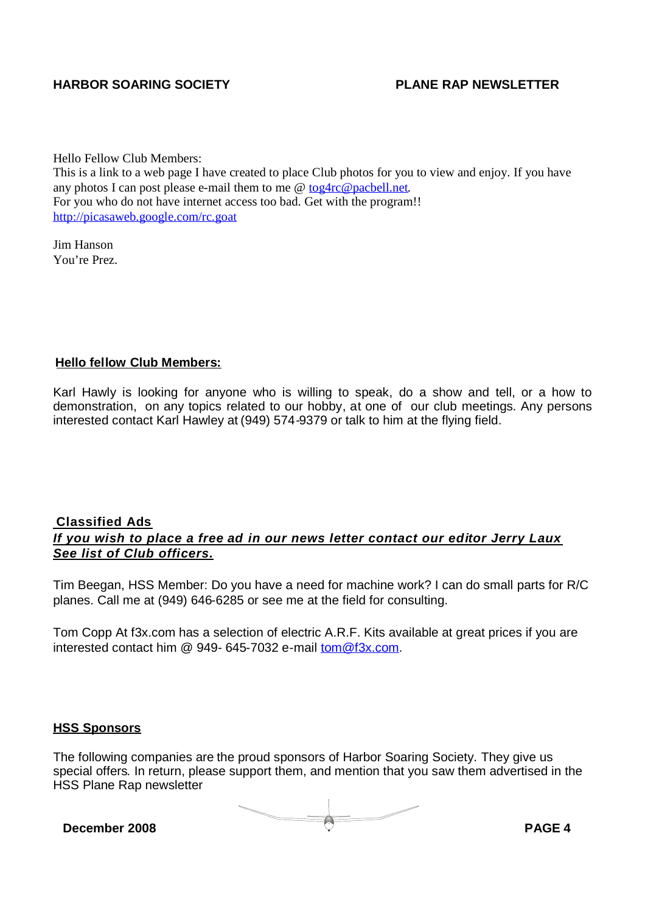Hello Fellow Club Members:

This is a link to a web page I have created to place Club photos for you to view and enjoy. If you have any photos I can post please e-mail them to me @ tog4rc@pacbell.net. For you who do not have internet access too bad. Get with the program!! http://picasaweb.google.com/rc.goat

Jim Hanson You're Prez.

#### **Hello fellow Club Members:**

Karl Hawly is looking for anyone who is willing to speak, do a show and tell, or a how to demonstration, on any topics related to our hobby, at one of our club meetings. Any persons interested contact Karl Hawley at (949) 574-9379 or talk to him at the flying field.

#### **Classified Ads** *If you wish to place a free ad in our news letter contact our editor Jerry Laux See list of Club officers.*

Tim Beegan, HSS Member: Do you have a need for machine work? I can do small parts for R/C planes. Call me at (949) 646-6285 or see me at the field for consulting.

Tom Copp At f3x.com has a selection of electric A.R.F. Kits available at great prices if you are interested contact him @ 949- 645-7032 e-mail tom@f3x.com.

#### **HSS Sponsors**

The following companies are the proud sponsors of Harbor Soaring Society. They give us special offers. In return, please support them, and mention that you saw them advertised in the HSS Plane Rap newsletter

**December** 2008 **PAGE** 4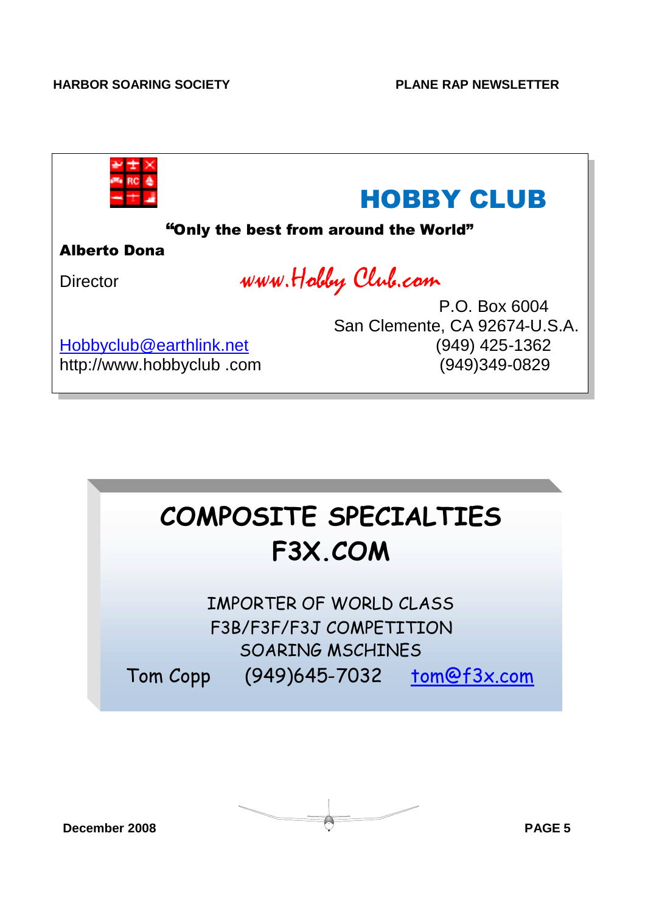| <b>HOBBY CLUB</b><br>"Only the best from around the World" |                               |
|------------------------------------------------------------|-------------------------------|
| <b>Alberto Dona</b>                                        |                               |
| WWW. Holdey Club.com<br><b>Director</b>                    |                               |
|                                                            | P.O. Box 6004                 |
|                                                            | San Clemente, CA 92674-U.S.A. |
| Hobbyclub@earthlink.net                                    | (949) 425-1362                |
| http://www.hobbyclub .com                                  | (949)349-0829                 |



IMPORTER OF WORLD CLASS F3B/F3F/F3J COMPETITION SOARING MSCHINES Tom Copp (949)645-7032 tom@f3x.com

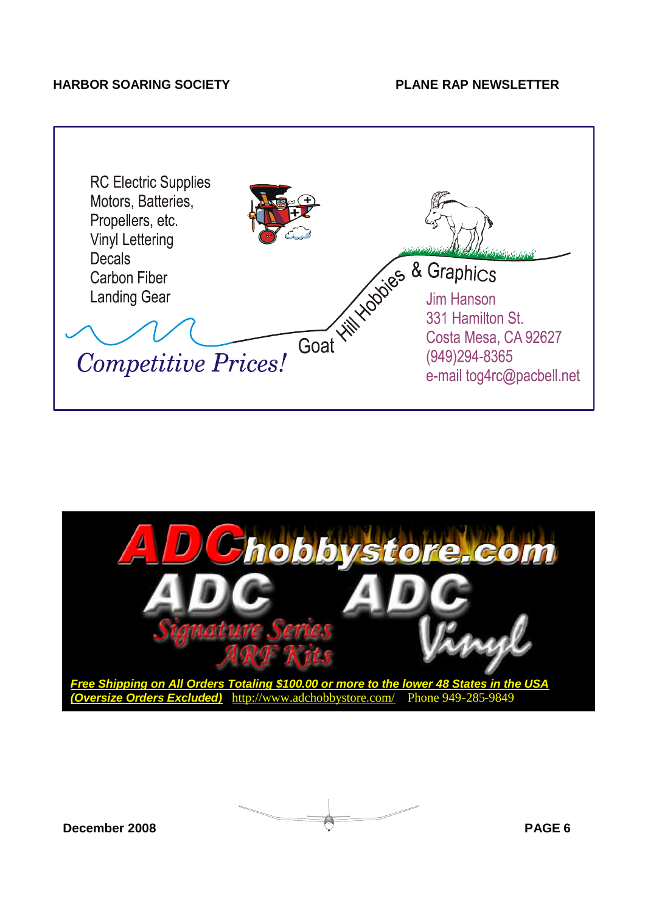



**December 2008 PAGE 6**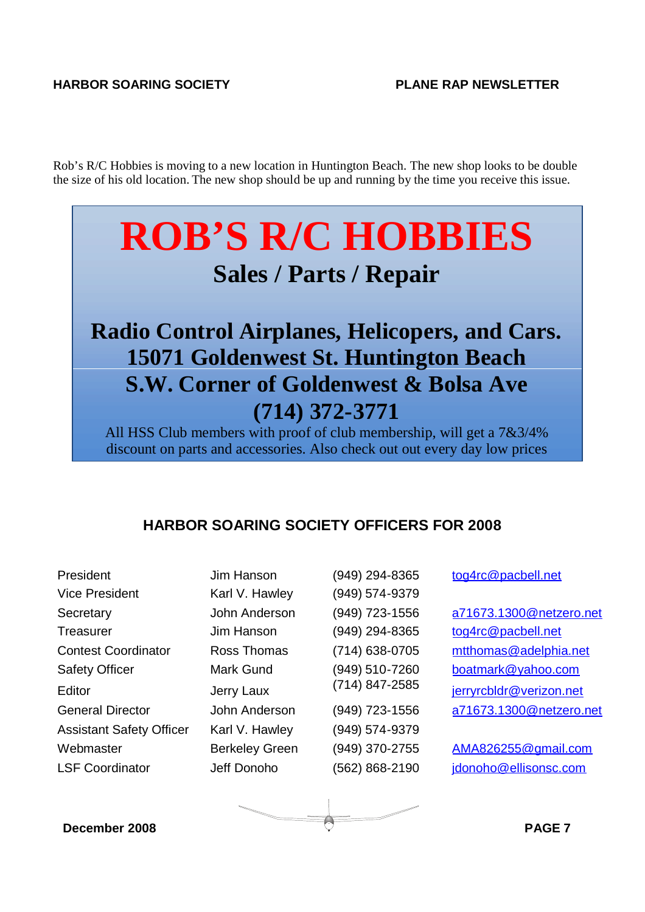Rob's R/C Hobbies is moving to a new location in Huntington Beach. The new shop looks to be double the size of his old location. The new shop should be up and running by the time you receive this issue.

# **ROB'S R/C HOBBIES**

## **Sales / Parts / Repair**

# **Radio Control Airplanes, Helicopers, and Cars. 15071 Goldenwest St. Huntington Beach S.W. Corner of Goldenwest & Bolsa Ave (714) 372-3771**

All HSS Club members with proof of club membership, will get a 7&3/4% discount on parts and accessories. Also check out out every day low prices

## **HARBOR SOARING SOCIETY OFFICERS FOR 2008**

President Jim Hanson (949) 294-8365 tog4rc@pacbell.net Vice President Karl V. Hawley (949) 574-9379 Treasurer Jim Hanson (949) 294-8365 tog4rc@pacbell.net Assistant Safety Officer Karl V. Hawley (949) 574-9379

Secretary John Anderson (949) 723-1556 a71673.1300@netzero.net Contest Coordinator Ross Thomas (714) 638-0705 mtthomas@adelphia.net Safety Officer Mark Gund (949) 510-7260 boatmark@yahoo.com Editor Jerry Laux (714) 847-2585 ierryrchldr@verizon.net General Director John Anderson (949) 723-1556 a71673.1300@netzero.net

Webmaster Berkeley Green (949) 370-2755 AMA826255@gmail.com LSF Coordinator deff Donoho (562) 868-2190 idonoho@ellisonsc.com

**December 2008 PAGE 7**